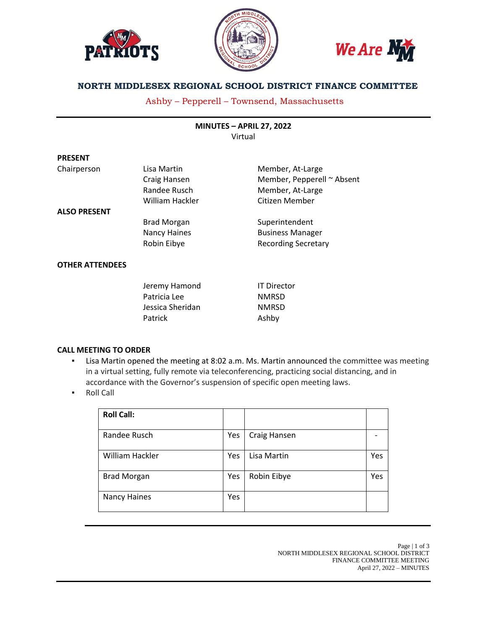





# **NORTH MIDDLESEX REGIONAL SCHOOL DISTRICT FINANCE COMMITTEE**

# Ashby – Pepperell – Townsend, Massachusetts

**MINUTES – APRIL 27, 2022** Virtual

| <b>PRESENT</b>         |                     |                            |
|------------------------|---------------------|----------------------------|
| Chairperson            | Lisa Martin         | Member, At-Large           |
|                        | Craig Hansen        | Member, Pepperell ~ Absent |
|                        | Randee Rusch        | Member, At-Large           |
|                        | William Hackler     | Citizen Member             |
| <b>ALSO PRESENT</b>    |                     |                            |
|                        | <b>Brad Morgan</b>  | Superintendent             |
|                        | <b>Nancy Haines</b> | <b>Business Manager</b>    |
|                        | Robin Eibye         | <b>Recording Secretary</b> |
| <b>OTHER ATTENDEES</b> |                     |                            |
|                        |                     |                            |

| Jeremy Hamond    | <b>IT Director</b> |
|------------------|--------------------|
| Patricia Lee     | <b>NMRSD</b>       |
| Jessica Sheridan | <b>NMRSD</b>       |
| Patrick          | Ashby              |

# **CALL MEETING TO ORDER**

- Lisa Martin opened the meeting at 8:02 a.m. Ms. Martin announced the committee was meeting in a virtual setting, fully remote via teleconferencing, practicing social distancing, and in accordance with the Governor's suspension of specific open meeting laws.
- Roll Call

**PRESENT**

| <b>Roll Call:</b>   |     |              |     |
|---------------------|-----|--------------|-----|
| Randee Rusch        | Yes | Craig Hansen |     |
| William Hackler     | Yes | Lisa Martin  | Yes |
| <b>Brad Morgan</b>  | Yes | Robin Eibye  | Yes |
| <b>Nancy Haines</b> | Yes |              |     |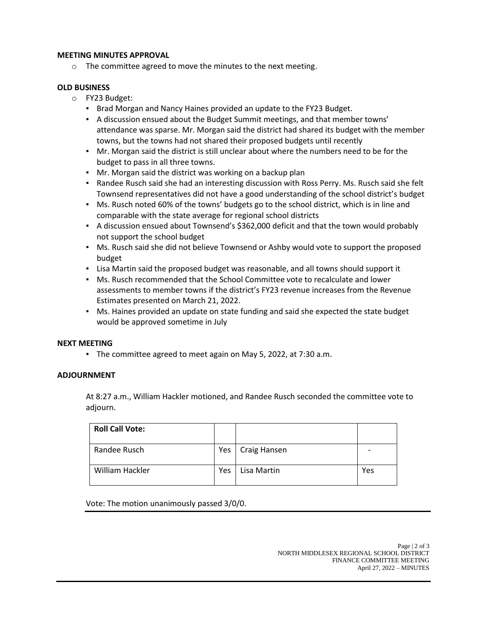#### **MEETING MINUTES APPROVAL**

o The committee agreed to move the minutes to the next meeting.

#### **OLD BUSINESS**

- o FY23 Budget:
	- Brad Morgan and Nancy Haines provided an update to the FY23 Budget.
	- A discussion ensued about the Budget Summit meetings, and that member towns' attendance was sparse. Mr. Morgan said the district had shared its budget with the member towns, but the towns had not shared their proposed budgets until recently
	- Mr. Morgan said the district is still unclear about where the numbers need to be for the budget to pass in all three towns.
	- Mr. Morgan said the district was working on a backup plan
	- Randee Rusch said she had an interesting discussion with Ross Perry. Ms. Rusch said she felt Townsend representatives did not have a good understanding of the school district's budget
	- Ms. Rusch noted 60% of the towns' budgets go to the school district, which is in line and comparable with the state average for regional school districts
	- A discussion ensued about Townsend's \$362,000 deficit and that the town would probably not support the school budget
	- Ms. Rusch said she did not believe Townsend or Ashby would vote to support the proposed budget
	- Lisa Martin said the proposed budget was reasonable, and all towns should support it
	- Ms. Rusch recommended that the School Committee vote to recalculate and lower assessments to member towns if the district's FY23 revenue increases from the Revenue Estimates presented on March 21, 2022.
	- Ms. Haines provided an update on state funding and said she expected the state budget would be approved sometime in July

# **NEXT MEETING**

▪ The committee agreed to meet again on May 5, 2022, at 7:30 a.m.

# **ADJOURNMENT**

At 8:27 a.m., William Hackler motioned, and Randee Rusch seconded the committee vote to adjourn.

| <b>Roll Call Vote:</b> |            |                    |     |
|------------------------|------------|--------------------|-----|
| Randee Rusch           |            | Yes   Craig Hansen |     |
| William Hackler        | <b>Yes</b> | Lisa Martin        | Yes |

Vote: The motion unanimously passed 3/0/0.